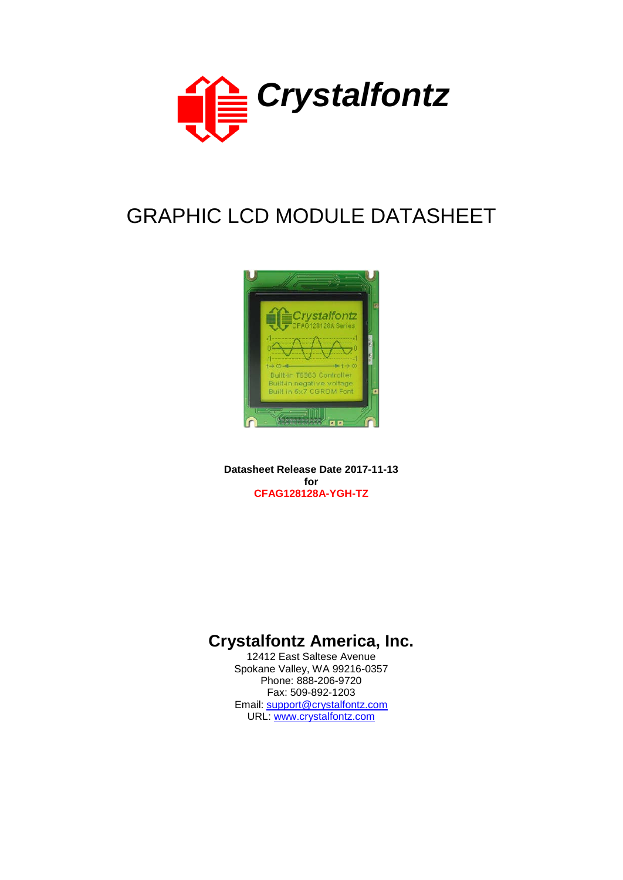

# GRAPHIC LCD MODULE DATASHEET



**Datasheet Release Date 2017-11-13 for CFAG128128A-YGH-TZ**

# **Crystalfontz America, Inc.**

12412 East Saltese Avenue Spokane Valley, WA 99216-0357 Phone: 888-206-9720 Fax: 509-892-1203 Email: [support@crystalfontz.com](mailto:support@crystalfontz.com) URL: [www.crystalfontz.com](http://www.crystalfontz.com/)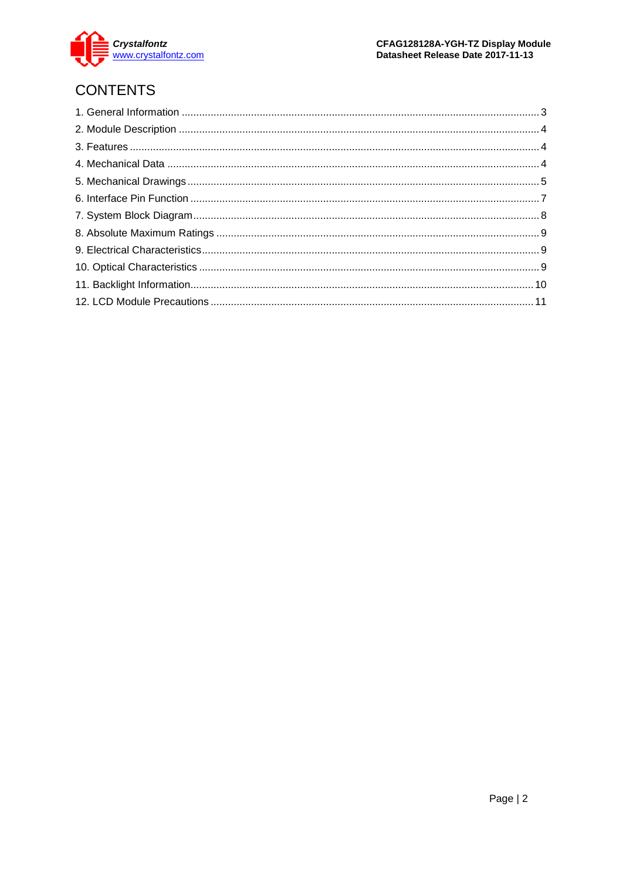

# **CONTENTS**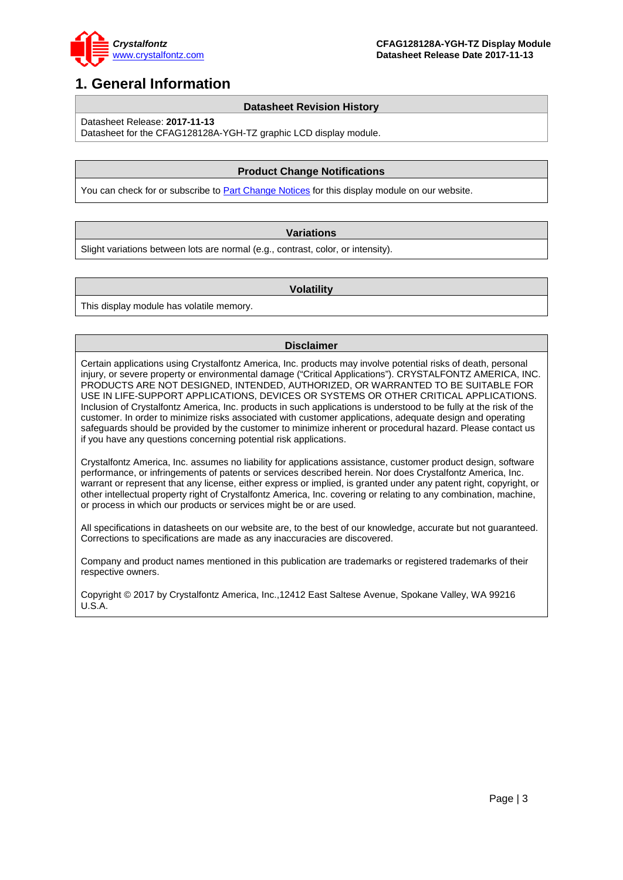

### <span id="page-2-0"></span>**1. General Information**

#### **Datasheet Revision History**

Datasheet Release: **2017-11-13**

Datasheet for the CFAG128128A-YGH-TZ graphic LCD display module.

#### **Product Change Notifications**

You can check for or subscribe to **Part Change Notices** for this display module on our website.

#### **Variations**

Slight variations between lots are normal (e.g., contrast, color, or intensity).

#### **Volatility**

This display module has volatile memory.

#### **Disclaimer**

Certain applications using Crystalfontz America, Inc. products may involve potential risks of death, personal injury, or severe property or environmental damage ("Critical Applications"). CRYSTALFONTZ AMERICA, INC. PRODUCTS ARE NOT DESIGNED, INTENDED, AUTHORIZED, OR WARRANTED TO BE SUITABLE FOR USE IN LIFE-SUPPORT APPLICATIONS, DEVICES OR SYSTEMS OR OTHER CRITICAL APPLICATIONS. Inclusion of Crystalfontz America, Inc. products in such applications is understood to be fully at the risk of the customer. In order to minimize risks associated with customer applications, adequate design and operating safeguards should be provided by the customer to minimize inherent or procedural hazard. Please contact us if you have any questions concerning potential risk applications.

Crystalfontz America, Inc. assumes no liability for applications assistance, customer product design, software performance, or infringements of patents or services described herein. Nor does Crystalfontz America, Inc. warrant or represent that any license, either express or implied, is granted under any patent right, copyright, or other intellectual property right of Crystalfontz America, Inc. covering or relating to any combination, machine, or process in which our products or services might be or are used.

All specifications in datasheets on our website are, to the best of our knowledge, accurate but not guaranteed. Corrections to specifications are made as any inaccuracies are discovered.

Company and product names mentioned in this publication are trademarks or registered trademarks of their respective owners.

Copyright © 2017 by Crystalfontz America, Inc.,12412 East Saltese Avenue, Spokane Valley, WA 99216 U.S.A.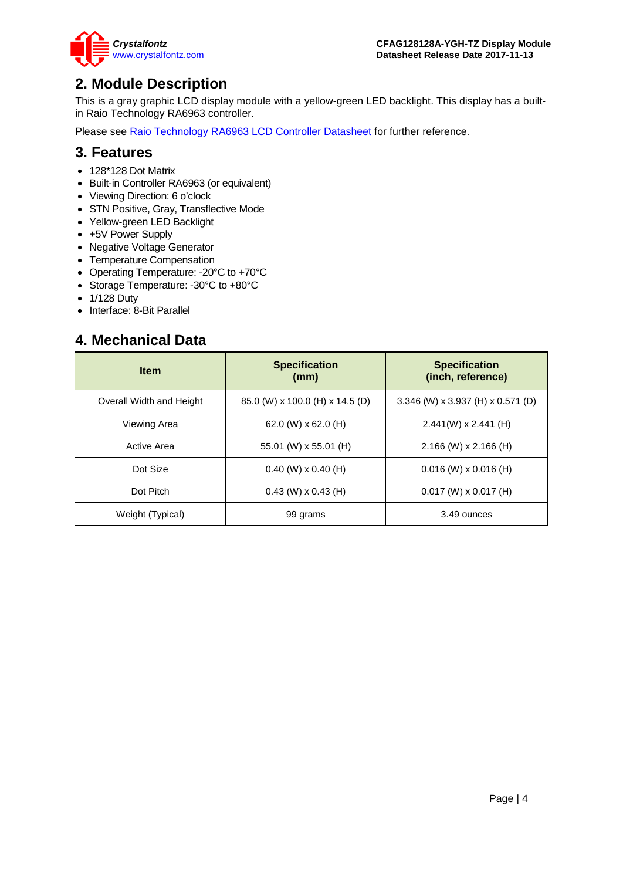

### <span id="page-3-0"></span>**2. Module Description**

This is a gray graphic LCD display module with a yellow-green LED backlight. This display has a builtin Raio Technology RA6963 controller.

Please see [Raio Technology RA6963 LCD Controller Datasheet](https://www.crystalfontz.com/controllers/Raio%20Technology/RA6963) for further reference.

### <span id="page-3-1"></span>**3. Features**

- 128\*128 Dot Matrix
- Built-in Controller RA6963 (or equivalent)
- Viewing Direction: 6 o'clock
- STN Positive, Gray, Transflective Mode
- Yellow-green LED Backlight
- +5V Power Supply
- Negative Voltage Generator
- Temperature Compensation
- Operating Temperature: -20°C to +70°C
- Storage Temperature: -30°C to +80°C
- 1/128 Duty
- Interface: 8-Bit Parallel

### <span id="page-3-2"></span>**4. Mechanical Data**

| <b>Item</b>              | <b>Specification</b><br>(mm)    | <b>Specification</b><br>(inch, reference) |
|--------------------------|---------------------------------|-------------------------------------------|
| Overall Width and Height | 85.0 (W) x 100.0 (H) x 14.5 (D) | 3.346 (W) x 3.937 (H) x 0.571 (D)         |
| Viewing Area             | 62.0 (W) x 62.0 (H)             | $2.441(W) \times 2.441(H)$                |
| Active Area              | 55.01 (W) $\times$ 55.01 (H)    | $2.166$ (W) x 2.166 (H)                   |
| Dot Size                 | $0.40$ (W) x 0.40 (H)           | $0.016$ (W) x 0.016 (H)                   |
| Dot Pitch                | $0.43$ (W) $\times$ 0.43 (H)    | $0.017$ (W) x $0.017$ (H)                 |
| Weight (Typical)         | 99 grams                        | 3.49 ounces                               |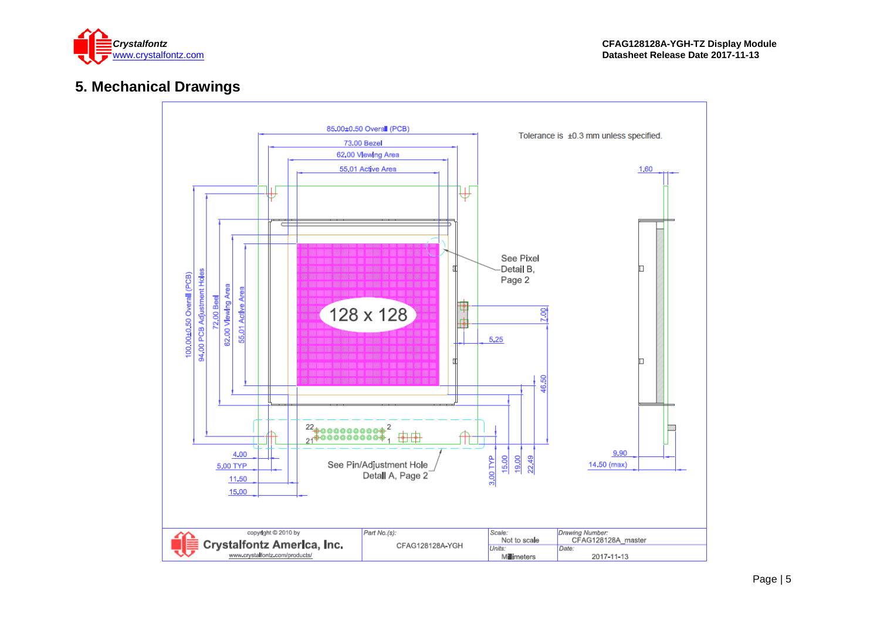

# **5. Mechanical Drawings**

<span id="page-4-0"></span>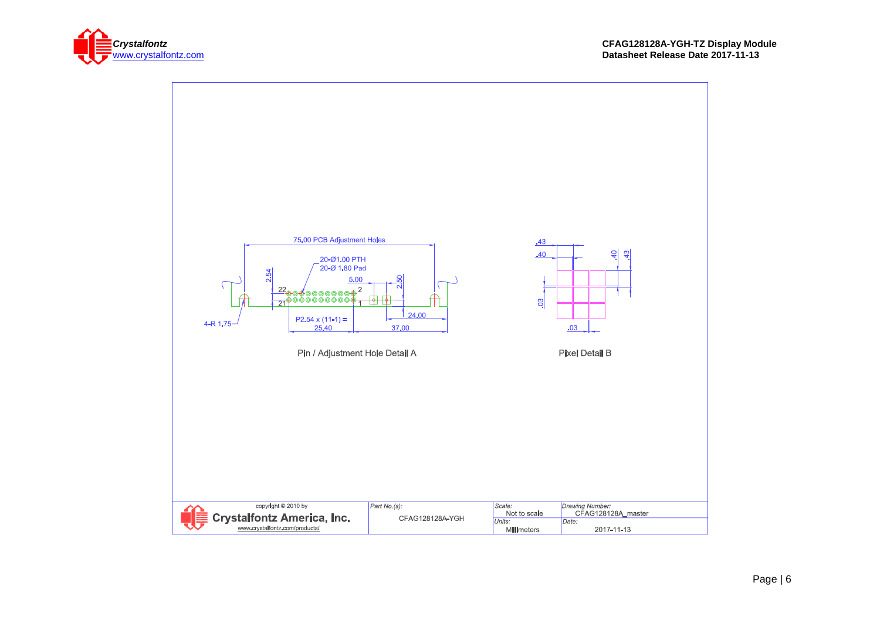

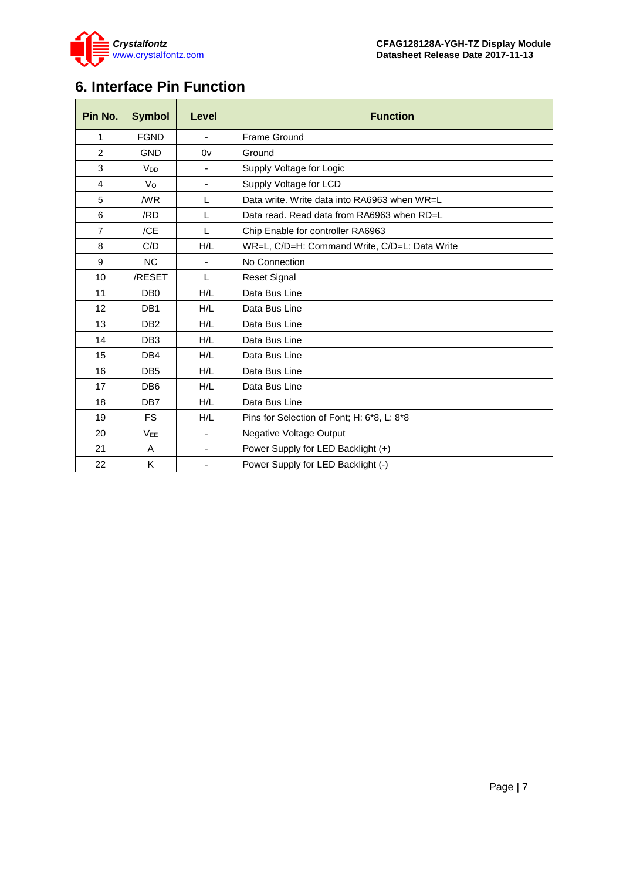

# <span id="page-6-0"></span>**6. Interface Pin Function**

| Pin No.        | <b>Symbol</b>         | Level                    | <b>Function</b>                               |
|----------------|-----------------------|--------------------------|-----------------------------------------------|
| 1              | <b>FGND</b>           | $\blacksquare$           | Frame Ground                                  |
| $\overline{2}$ | <b>GND</b>            | 0v                       | Ground                                        |
| 3              | <b>V<sub>DD</sub></b> |                          | Supply Voltage for Logic                      |
| 4              | Vo                    | $\overline{\phantom{a}}$ | Supply Voltage for LCD                        |
| 5              | /WR                   | L                        | Data write. Write data into RA6963 when WR=L  |
| 6              | /RD                   | L                        | Data read. Read data from RA6963 when RD=L    |
| $\overline{7}$ | /CE                   | L                        | Chip Enable for controller RA6963             |
| 8              | C/D                   | H/L                      | WR=L, C/D=H: Command Write, C/D=L: Data Write |
| 9              | <b>NC</b>             | $\blacksquare$           | No Connection                                 |
| 10             | /RESET                | L                        | <b>Reset Signal</b>                           |
| 11             | DB <sub>0</sub>       | H/L                      | Data Bus Line                                 |
| 12             | DB <sub>1</sub>       | H/L                      | Data Bus Line                                 |
| 13             | DB <sub>2</sub>       | H/L                      | Data Bus Line                                 |
| 14             | DB <sub>3</sub>       | H/L                      | Data Bus Line                                 |
| 15             | DB4                   | H/L                      | Data Bus Line                                 |
| 16             | DB <sub>5</sub>       | H/L                      | Data Bus Line                                 |
| 17             | DB <sub>6</sub>       | H/L                      | Data Bus Line                                 |
| 18             | DB7                   | H/L                      | Data Bus Line                                 |
| 19             | <b>FS</b>             | H/L                      | Pins for Selection of Font; H: 6*8, L: 8*8    |
| 20             | <b>VEE</b>            | $\overline{\phantom{m}}$ | <b>Negative Voltage Output</b>                |
| 21             | A                     | $\overline{\phantom{a}}$ | Power Supply for LED Backlight (+)            |
| 22             | K                     | $\overline{\phantom{0}}$ | Power Supply for LED Backlight (-)            |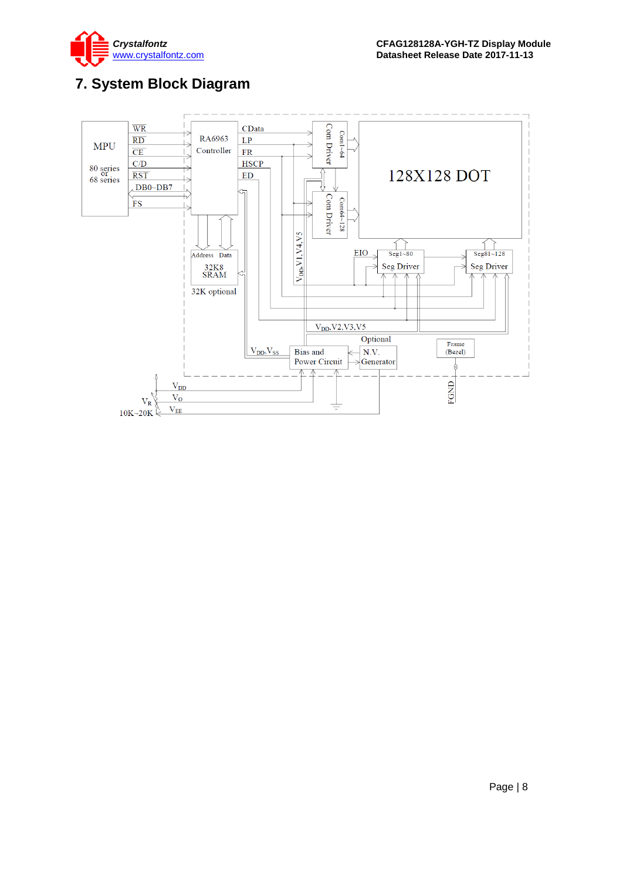

# <span id="page-7-0"></span>**7. System Block Diagram**

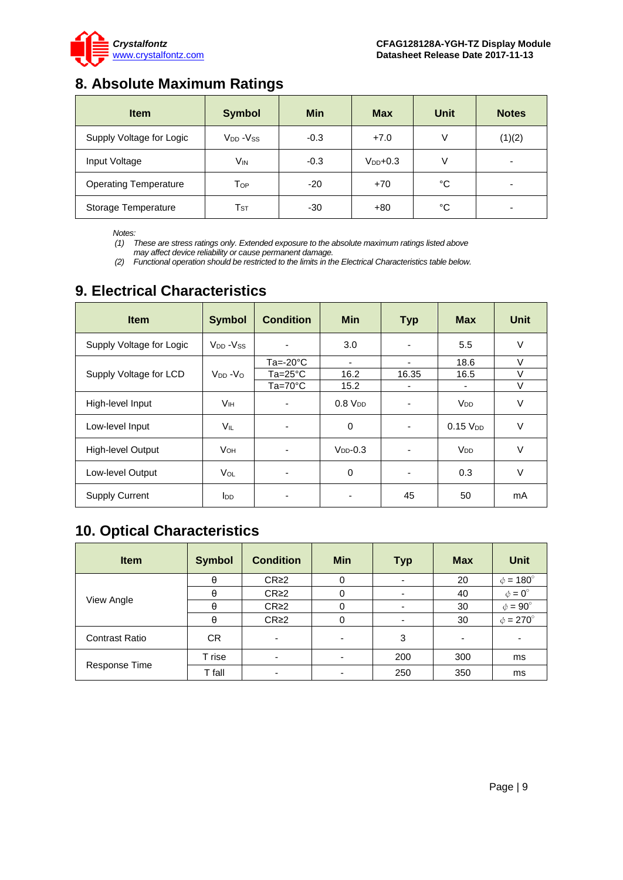

## <span id="page-8-0"></span>**8. Absolute Maximum Ratings**

| <b>Item</b>                  | <b>Symbol</b>              | <b>Min</b> | <b>Max</b>    | Unit | <b>Notes</b> |
|------------------------------|----------------------------|------------|---------------|------|--------------|
| Supply Voltage for Logic     | $V_{DD} - V_{SS}$          | $-0.3$     | $+7.0$        | ν    | (1)(2)       |
| Input Voltage                | Vin                        | $-0.3$     | $V_{DD}$ +0.3 | V    | -            |
| <b>Operating Temperature</b> | Тор                        | $-20$      | $+70$         | °C   | -            |
| Storage Temperature          | $\mathsf{T}_{\texttt{ST}}$ | -30        | $+80$         | °C   |              |

*Notes:*

*(1) These are stress ratings only. Extended exposure to the absolute maximum ratings listed above may affect device reliability or cause permanent damage.* 

*(2) Functional operation should be restricted to the limits in the Electrical Characteristics table below.*

### <span id="page-8-1"></span>**9. Electrical Characteristics**

| <b>Item</b>              | <b>Symbol</b>          | <b>Condition</b>         | <b>Min</b>               | <b>Typ</b> | <b>Max</b>            | <b>Unit</b> |
|--------------------------|------------------------|--------------------------|--------------------------|------------|-----------------------|-------------|
| Supply Voltage for Logic | $V_{DD} - V_{SS}$      |                          | 3.0                      |            | 5.5                   | $\vee$      |
|                          |                        | $Ta = -20°C$             | $\overline{\phantom{a}}$ | ٠          | 18.6                  | $\vee$      |
| Supply Voltage for LCD   | $V_{DD} - V_{O}$       | $Ta = 25^{\circ}C$       | 16.2                     | 16.35      | 16.5                  | $\vee$      |
|                          |                        | $Ta=70^{\circ}C$         | 15.2                     |            |                       | $\vee$      |
| High-level Input         | Vıн                    |                          | 0.8 V <sub>DD</sub>      |            | <b>V<sub>DD</sub></b> | V           |
| Low-level Input          | VIL                    | $\overline{\phantom{a}}$ | 0                        | ٠          | $0.15$ $V_{DD}$       | V           |
| <b>High-level Output</b> | <b>V</b> <sub>OН</sub> | $\overline{\phantom{a}}$ | $V_{DD}$ -0.3            |            | $V_{DD}$              | $\vee$      |
| Low-level Output         | V <sub>OL</sub>        |                          | 0                        |            | 0.3                   | V           |
| <b>Supply Current</b>    | l <sub>DD</sub>        | ٠                        |                          | 45         | 50                    | mA          |

### <span id="page-8-2"></span>**10. Optical Characteristics**

| <b>Item</b>           | <b>Symbol</b> | <b>Condition</b> | <b>Min</b>               | Typ | <b>Max</b>               | <b>Unit</b>          |
|-----------------------|---------------|------------------|--------------------------|-----|--------------------------|----------------------|
|                       | θ             | CR <sub>2</sub>  | 0                        |     | 20                       | $\phi = 180^{\circ}$ |
| View Angle            | θ             | CR <sub>2</sub>  | 0                        |     | 40                       | $\phi = 0^{\circ}$   |
|                       | θ             | CR <sub>2</sub>  | 0                        |     | 30                       | $\phi = 90^{\circ}$  |
|                       | θ             | CR <sub>2</sub>  | 0                        |     | 30                       | $\phi = 270^\circ$   |
| <b>Contrast Ratio</b> | CR.           |                  | ۰                        | 3   | $\overline{\phantom{0}}$ |                      |
| Response Time         | T rise        |                  | $\overline{\phantom{0}}$ | 200 | 300                      | ms                   |
|                       | T fall        |                  |                          | 250 | 350                      | ms                   |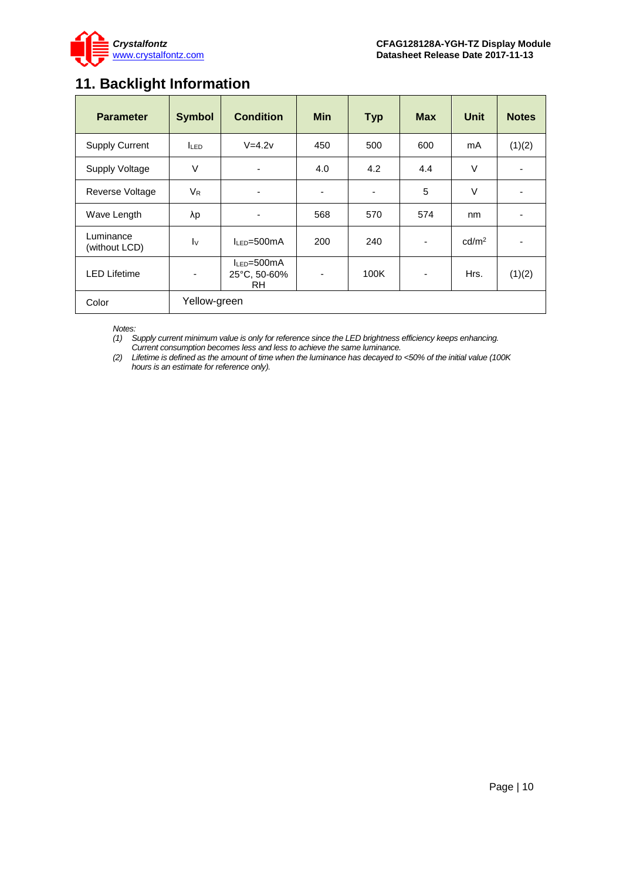

## <span id="page-9-0"></span>**11. Backlight Information**

| <b>Parameter</b>           | <b>Symbol</b>           | <b>Condition</b>                         | <b>Min</b>     | <b>Typ</b>               | <b>Max</b>               | <b>Unit</b>       | <b>Notes</b>             |
|----------------------------|-------------------------|------------------------------------------|----------------|--------------------------|--------------------------|-------------------|--------------------------|
| <b>Supply Current</b>      | <b>ILED</b>             | $V=4.2v$                                 | 450            | 500                      | 600                      | mA                | (1)(2)                   |
| <b>Supply Voltage</b>      | $\vee$                  | ٠                                        | 4.0            | 4.2                      | 4.4                      | $\vee$            |                          |
| Reverse Voltage            | <b>V<sub>R</sub></b>    | ٠                                        | ٠              | $\overline{\phantom{0}}$ | 5                        | $\vee$            |                          |
| Wave Length                | λp                      |                                          | 568            | 570                      | 574                      | nm                |                          |
| Luminance<br>(without LCD) | $\mathsf{I} \mathsf{v}$ | $l_{LED} = 500mA$                        | 200            | 240                      |                          | cd/m <sup>2</sup> | $\overline{\phantom{0}}$ |
| <b>LED Lifetime</b>        | ۰                       | $I_{LED} = 500mA$<br>25°C, 50-60%<br>RH. | $\blacksquare$ | 100K                     | $\overline{\phantom{a}}$ | Hrs.              | (1)(2)                   |
| Color                      | Yellow-green            |                                          |                |                          |                          |                   |                          |

*Notes:* 

*(1) Supply current minimum value is only for reference since the LED brightness efficiency keeps enhancing. Current consumption becomes less and less to achieve the same luminance.* 

*(2) Lifetime is defined as the amount of time when the luminance has decayed to <50% of the initial value (100K hours is an estimate for reference only).*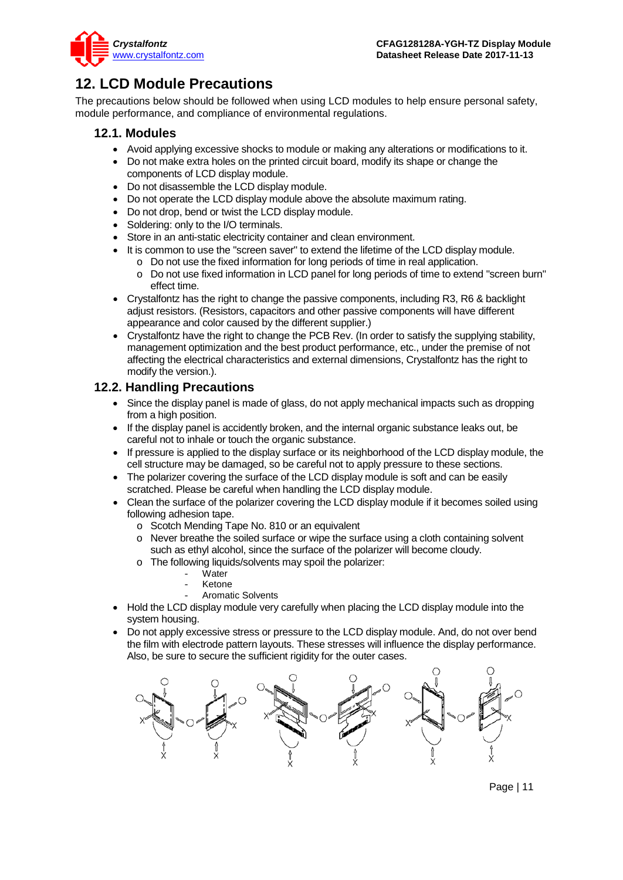

### <span id="page-10-0"></span>**12. LCD Module Precautions**

The precautions below should be followed when using LCD modules to help ensure personal safety, module performance, and compliance of environmental regulations.

### **12.1. Modules**

- Avoid applying excessive shocks to module or making any alterations or modifications to it.
- Do not make extra holes on the printed circuit board, modify its shape or change the components of LCD display module.
- Do not disassemble the LCD display module.
- Do not operate the LCD display module above the absolute maximum rating.
- Do not drop, bend or twist the LCD display module.
- Soldering: only to the I/O terminals.
- Store in an anti-static electricity container and clean environment.
- It is common to use the "screen saver" to extend the lifetime of the LCD display module.
	- o Do not use the fixed information for long periods of time in real application.
	- o Do not use fixed information in LCD panel for long periods of time to extend "screen burn" effect time.
- Crystalfontz has the right to change the passive components, including R3, R6 & backlight adjust resistors. (Resistors, capacitors and other passive components will have different appearance and color caused by the different supplier.)
- Crystalfontz have the right to change the PCB Rev. (In order to satisfy the supplying stability, management optimization and the best product performance, etc., under the premise of not affecting the electrical characteristics and external dimensions, Crystalfontz has the right to modify the version.).

### **12.2. Handling Precautions**

- Since the display panel is made of glass, do not apply mechanical impacts such as dropping from a high position.
- If the display panel is accidently broken, and the internal organic substance leaks out, be careful not to inhale or touch the organic substance.
- If pressure is applied to the display surface or its neighborhood of the LCD display module, the cell structure may be damaged, so be careful not to apply pressure to these sections.
- The polarizer covering the surface of the LCD display module is soft and can be easily scratched. Please be careful when handling the LCD display module.
- Clean the surface of the polarizer covering the LCD display module if it becomes soiled using following adhesion tape.
	- o Scotch Mending Tape No. 810 or an equivalent
	- o Never breathe the soiled surface or wipe the surface using a cloth containing solvent such as ethyl alcohol, since the surface of the polarizer will become cloudy.
	- o The following liquids/solvents may spoil the polarizer:
		- Water
		- **Ketone**
		- Aromatic Solvents
- Hold the LCD display module very carefully when placing the LCD display module into the system housing.
- Do not apply excessive stress or pressure to the LCD display module. And, do not over bend the film with electrode pattern layouts. These stresses will influence the display performance. Also, be sure to secure the sufficient rigidity for the outer cases.



Page | 11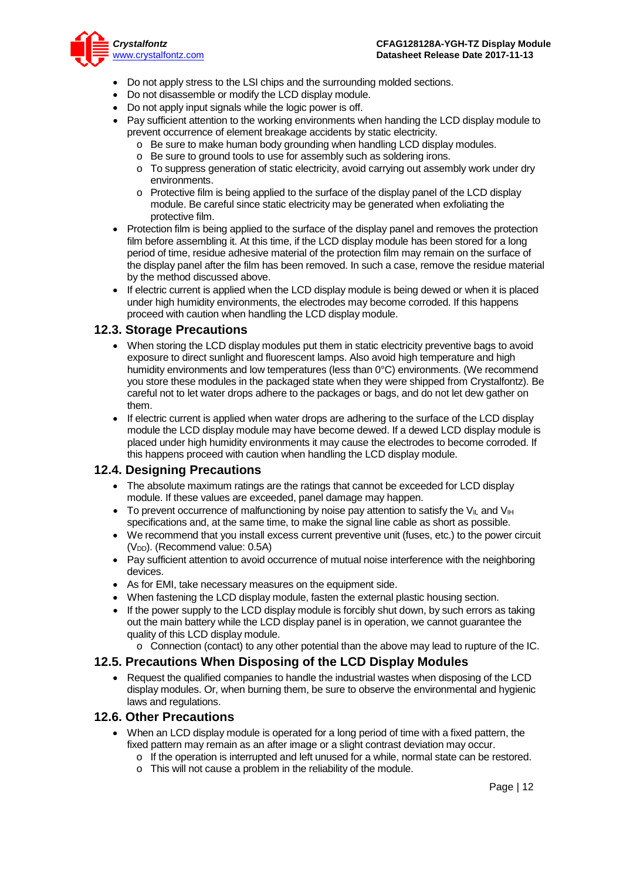

- Do not apply stress to the LSI chips and the surrounding molded sections.
- Do not disassemble or modify the LCD display module.
- Do not apply input signals while the logic power is off.
- Pay sufficient attention to the working environments when handing the LCD display module to prevent occurrence of element breakage accidents by static electricity.
	- o Be sure to make human body grounding when handling LCD display modules.
	- o Be sure to ground tools to use for assembly such as soldering irons.
	- o To suppress generation of static electricity, avoid carrying out assembly work under dry environments.
	- o Protective film is being applied to the surface of the display panel of the LCD display module. Be careful since static electricity may be generated when exfoliating the protective film.
- Protection film is being applied to the surface of the display panel and removes the protection film before assembling it. At this time, if the LCD display module has been stored for a long period of time, residue adhesive material of the protection film may remain on the surface of the display panel after the film has been removed. In such a case, remove the residue material by the method discussed above.
- If electric current is applied when the LCD display module is being dewed or when it is placed under high humidity environments, the electrodes may become corroded. If this happens proceed with caution when handling the LCD display module.

#### **12.3. Storage Precautions**

- When storing the LCD display modules put them in static electricity preventive bags to avoid exposure to direct sunlight and fluorescent lamps. Also avoid high temperature and high humidity environments and low temperatures (less than 0°C) environments. (We recommend you store these modules in the packaged state when they were shipped from Crystalfontz). Be careful not to let water drops adhere to the packages or bags, and do not let dew gather on them.
- If electric current is applied when water drops are adhering to the surface of the LCD display module the LCD display module may have become dewed. If a dewed LCD display module is placed under high humidity environments it may cause the electrodes to become corroded. If this happens proceed with caution when handling the LCD display module.

#### **12.4. Designing Precautions**

- The absolute maximum ratings are the ratings that cannot be exceeded for LCD display module. If these values are exceeded, panel damage may happen.
- To prevent occurrence of malfunctioning by noise pay attention to satisfy the V<sub>II</sub> and V<sub>IH</sub> specifications and, at the same time, to make the signal line cable as short as possible.
- We recommend that you install excess current preventive unit (fuses, etc.) to the power circuit (V<sub>DD</sub>). (Recommend value: 0.5A)
- Pay sufficient attention to avoid occurrence of mutual noise interference with the neighboring devices.
- As for EMI, take necessary measures on the equipment side.
- When fastening the LCD display module, fasten the external plastic housing section.
- If the power supply to the LCD display module is forcibly shut down, by such errors as taking out the main battery while the LCD display panel is in operation, we cannot guarantee the quality of this LCD display module.
	- o Connection (contact) to any other potential than the above may lead to rupture of the IC.

#### **12.5. Precautions When Disposing of the LCD Display Modules**

• Request the qualified companies to handle the industrial wastes when disposing of the LCD display modules. Or, when burning them, be sure to observe the environmental and hygienic laws and regulations.

#### **12.6. Other Precautions**

- When an LCD display module is operated for a long period of time with a fixed pattern, the fixed pattern may remain as an after image or a slight contrast deviation may occur.
	- o If the operation is interrupted and left unused for a while, normal state can be restored.
	- o This will not cause a problem in the reliability of the module.